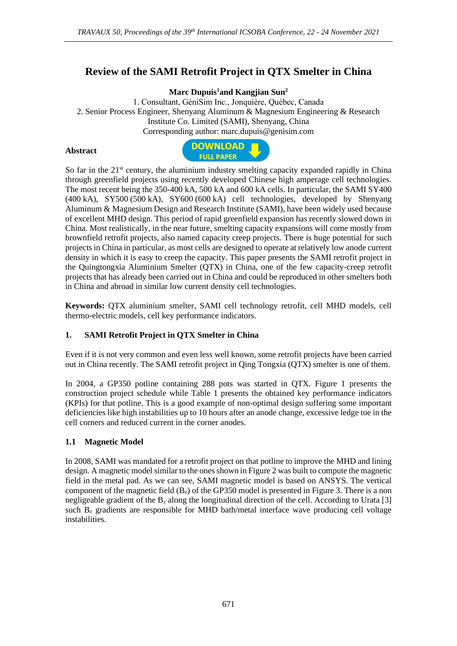# **Review of the SAMI Retrofit Project in QTX Smelter in China**

**Marc Dupuis<sup>1</sup>and Kangjian Sun<sup>2</sup>**

1. Consultant, GéniSim Inc., Jonquière, Québec, Canada 2. Senior Process Engineer, Shenyang Aluminum & Magnesium Engineering & Research Institute Co. Limited (SAMI), Shenyang, China Corresponding author: marc.dupuis@genisim.com

#### **Abstract**



So far in the  $21<sup>st</sup>$  century, the aluminium industry smelting capacity expanded rapidly in China through greenfield projects using recently developed Chinese high amperage cell technologies. The most recent being the 350-400 kA, 500 kA and 600 kA cells. In particular, the SAMI SY400 (400 kA), SY500 (500 kA), SY600 (600 kA) cell technologies, developed by Shenyang Aluminum & Magnesium Design and Research Institute (SAMI), have been widely used because of excellent MHD design. This period of rapid greenfield expansion has recently slowed down in China. Most realistically, in the near future, smelting capacity expansions will come mostly from brownfield retrofit projects, also named capacity creep projects. There is huge potential for such projects in China in particular, as most cells are designed to operate at relatively low anode current density in which it is easy to creep the capacity. This paper presents the SAMI retrofit project in the Quingtongxia Aluminium Smelter (QTX) in China, one of the few capacity-creep retrofit projects that has already been carried out in China and could be reproduced in other smelters both in China and abroad in similar low current density cell technologies.

**Keywords:** QTX aluminium smelter, SAMI cell technology retrofit, cell MHD models, cell thermo-electric models, cell key performance indicators.

### **1. SAMI Retrofit Project in QTX Smelter in China**

Even if it is not very common and even less well known, some retrofit projects have been carried out in China recently. The SAMI retrofit project in Qing Tongxia (QTX) smelter is one of them.

In 2004, a GP350 potline containing 288 pots was started in QTX. Figure 1 presents the construction project schedule while Table 1 presents the obtained key performance indicators (KPIs) for that potline. This is a good example of non-optimal design suffering some important deficiencies like high instabilities up to 10 hours after an anode change, excessive ledge toe in the cell corners and reduced current in the corner anodes.

### **1.1 Magnetic Model**

In 2008, SAMI was mandated for a retrofit project on that potline to improve the MHD and lining design. A magnetic model similar to the ones shown in Figure 2 was built to compute the magnetic field in the metal pad. As we can see, SAMI magnetic model is based on ANSYS. The vertical component of the magnetic field  $(B_z)$  of the GP350 model is presented in Figure 3. There is a non negligeable gradient of the  $B<sub>z</sub>$  along the longitudinal direction of the cell. According to Urata [3] such  $B<sub>z</sub>$  gradients are responsible for MHD bath/metal interface wave producing cell voltage instabilities.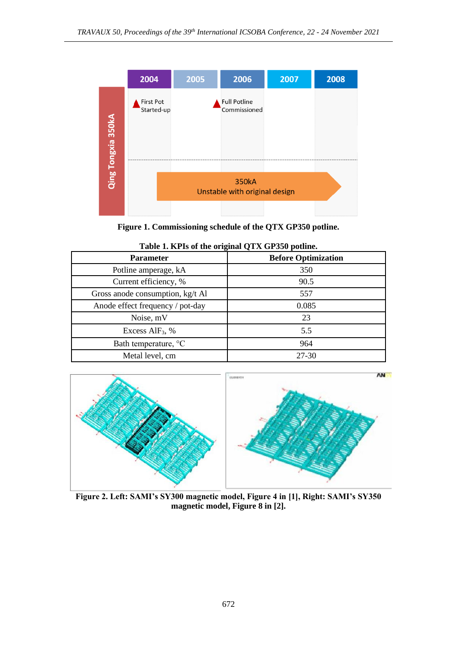

**Figure 1. Commissioning schedule of the QTX GP350 potline.** 

| <b>Parameter</b>                 | <b>Before Optimization</b> |  |  |  |
|----------------------------------|----------------------------|--|--|--|
| Potline amperage, kA             | 350                        |  |  |  |
| Current efficiency, %            | 90.5                       |  |  |  |
| Gross anode consumption, kg/t Al | 557                        |  |  |  |
| Anode effect frequency / pot-day | 0.085                      |  |  |  |
| Noise, mV                        | 23                         |  |  |  |
| Excess AlF <sub>3</sub> , $%$    | 5.5                        |  |  |  |
| Bath temperature, <sup>o</sup> C | 964                        |  |  |  |
| Metal level, cm                  | 27-30                      |  |  |  |

| Table 1. KPIs of the original QTX GP350 potline. |  |  |  |
|--------------------------------------------------|--|--|--|
|                                                  |  |  |  |



**Figure 2. Left: SAMI's SY300 magnetic model, Figure 4 in [1], Right: SAMI's SY350 magnetic model, Figure 8 in [2].**